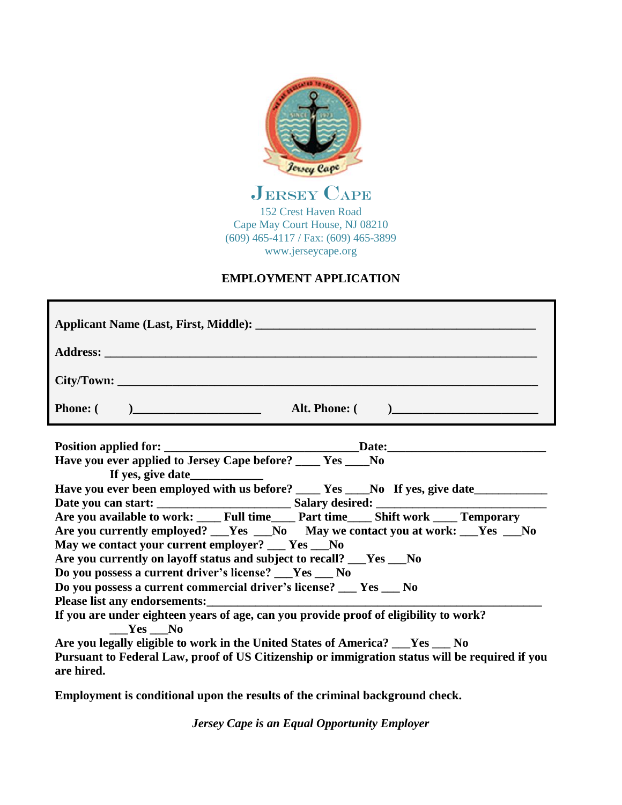

JERSEY CAPE 152 Crest Haven Road Cape May Court House, NJ 08210 (609) 465-4117 / Fax: (609) 465-3899 www.jerseycape.org

## **EMPLOYMENT APPLICATION**

| Address: No. 1986. The Commission of the Commission of the Commission of the Commission of the Commission of the Commission of the Commission of the Commission of the Commission of the Commission of the Commission of the C |  |  |  |
|--------------------------------------------------------------------------------------------------------------------------------------------------------------------------------------------------------------------------------|--|--|--|
|                                                                                                                                                                                                                                |  |  |  |
|                                                                                                                                                                                                                                |  |  |  |
|                                                                                                                                                                                                                                |  |  |  |
| Have you ever applied to Jersey Cape before? ____ Yes ___No                                                                                                                                                                    |  |  |  |
| Have you ever been employed with us before? ____ Yes ____No If yes, give date ______________________                                                                                                                           |  |  |  |
| Are you available to work: ______ Full time______ Part time______ Shift work _____ Temporary                                                                                                                                   |  |  |  |
| Are you currently employed? __Yes __No May we contact you at work: __Yes __No                                                                                                                                                  |  |  |  |
| May we contact your current employer? __ Yes __No<br>Are you currently on layoff status and subject to recall? Fes No                                                                                                          |  |  |  |
| Do you possess a current driver's license? __Yes __ No                                                                                                                                                                         |  |  |  |
| Do you possess a current commercial driver's license? __ Yes __ No                                                                                                                                                             |  |  |  |
| If you are under eighteen years of age, can you provide proof of eligibility to work?                                                                                                                                          |  |  |  |
| <b>Yes</b> No                                                                                                                                                                                                                  |  |  |  |
| Are you legally eligible to work in the United States of America? __Yes __ No<br>Pursuant to Federal Law, proof of US Citizenship or immigration status will be required if you                                                |  |  |  |
| are hired.                                                                                                                                                                                                                     |  |  |  |
|                                                                                                                                                                                                                                |  |  |  |

**Employment is conditional upon the results of the criminal background check.** 

*Jersey Cape is an Equal Opportunity Employer*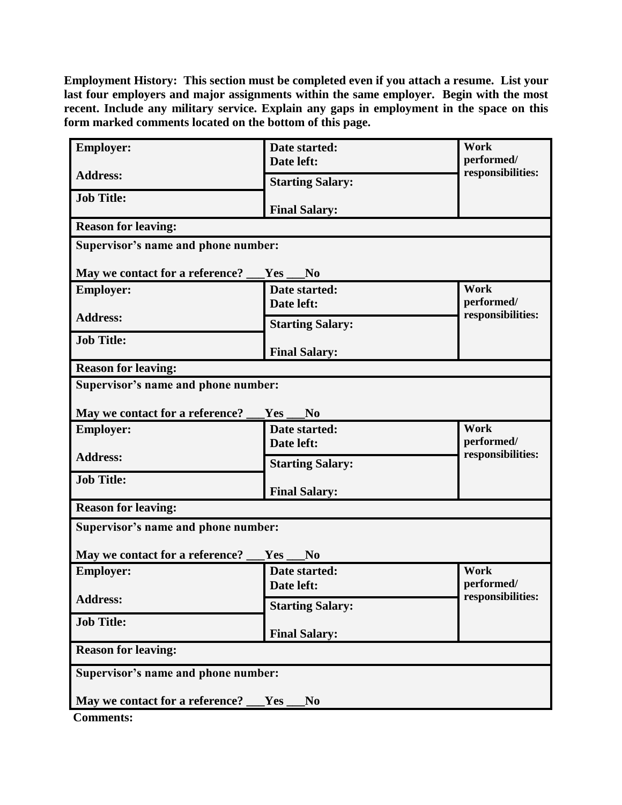**Employment History: This section must be completed even if you attach a resume. List your**  last four employers and major assignments within the same employer. Begin with the most recent. Include any military service. Explain any gaps in employment in the space on this **form marked comments located on the bottom of this page.**

| <b>Employer:</b>                    | Work<br>Date started:                 |                                 |
|-------------------------------------|---------------------------------------|---------------------------------|
| <b>Address:</b>                     | Date left:<br><b>Starting Salary:</b> | performed/<br>responsibilities: |
| <b>Job Title:</b>                   |                                       |                                 |
|                                     | <b>Final Salary:</b>                  |                                 |
| <b>Reason for leaving:</b>          |                                       |                                 |
| Supervisor's name and phone number: |                                       |                                 |
| May we contact for a reference?     | Yes<br>N <sub>0</sub>                 |                                 |
| <b>Employer:</b>                    | Date started:                         | Work                            |
|                                     | Date left:                            | performed/                      |
| <b>Address:</b>                     | <b>Starting Salary:</b>               | responsibilities:               |
| <b>Job Title:</b>                   |                                       |                                 |
|                                     | <b>Final Salary:</b>                  |                                 |
| <b>Reason for leaving:</b>          |                                       |                                 |
| Supervisor's name and phone number: |                                       |                                 |
|                                     |                                       |                                 |
| May we contact for a reference?     | Yes<br>N <sub>0</sub>                 |                                 |
| <b>Employer:</b>                    | Date started:                         | Work                            |
| <b>Address:</b>                     | Date left:                            | performed/<br>responsibilities: |
|                                     | <b>Starting Salary:</b>               |                                 |
| <b>Job Title:</b>                   |                                       |                                 |
|                                     | <b>Final Salary:</b>                  |                                 |
| <b>Reason for leaving:</b>          |                                       |                                 |
| Supervisor's name and phone number: |                                       |                                 |
|                                     |                                       |                                 |
| May we contact for a reference?     | Yes<br>N <sub>0</sub>                 |                                 |
| <b>Employer:</b>                    | Date started:                         | Work                            |
| <b>Address:</b>                     | Date left:                            | performed/<br>responsibilities: |
|                                     | <b>Starting Salary:</b>               |                                 |
| <b>Job Title:</b>                   |                                       |                                 |
|                                     | <b>Final Salary:</b>                  |                                 |
| <b>Reason for leaving:</b>          |                                       |                                 |
| Supervisor's name and phone number: |                                       |                                 |
|                                     |                                       |                                 |
| May we contact for a reference?     | Yes<br>No                             |                                 |

**Comments:**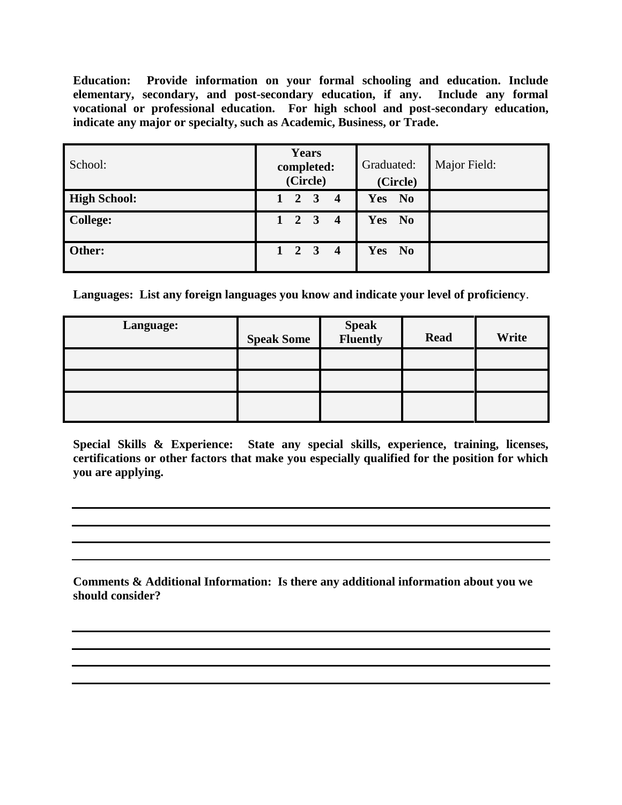**Education: Provide information on your formal schooling and education. Include elementary, secondary, and post-secondary education, if any. Include any formal vocational or professional education. For high school and post-secondary education, indicate any major or specialty, such as Academic, Business, or Trade.**

| School:             | <b>Years</b><br>Graduated:<br>completed:<br>(Circle)<br>(Circle) |                       | Major Field: |
|---------------------|------------------------------------------------------------------|-----------------------|--------------|
| <b>High School:</b> | $2 \quad 3$<br>$\overline{\mathbf{4}}$                           | Yes<br>N <sub>0</sub> |              |
| <b>College:</b>     | $1 \quad 2 \quad 3 \quad 4$                                      | Yes No                |              |
| Other:              | $1 \quad 2 \quad 3 \quad 4$                                      | Yes No                |              |

**Languages: List any foreign languages you know and indicate your level of proficiency**.

| Language: | <b>Speak Some</b> | Speak<br>Fluently | <b>Read</b> | Write |
|-----------|-------------------|-------------------|-------------|-------|
|           |                   |                   |             |       |
|           |                   |                   |             |       |
|           |                   |                   |             |       |

**Special Skills & Experience: State any special skills, experience, training, licenses, certifications or other factors that make you especially qualified for the position for which you are applying.**

**Comments & Additional Information: Is there any additional information about you we should consider?**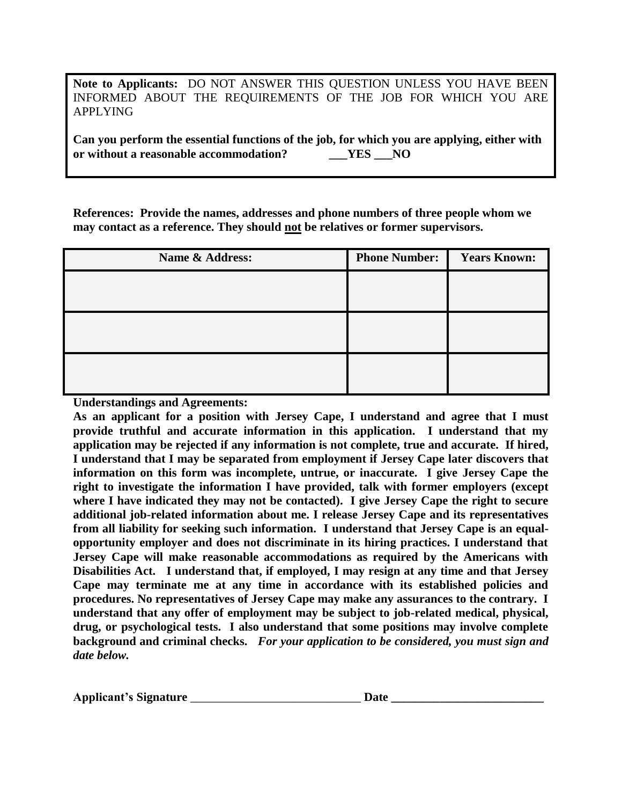**Note to Applicants:** DO NOT ANSWER THIS QUESTION UNLESS YOU HAVE BEEN INFORMED ABOUT THE REQUIREMENTS OF THE JOB FOR WHICH YOU ARE APPLYING

**Can you perform the essential functions of the job, for which you are applying, either with or without a reasonable accommodation? \_\_\_YES \_\_\_NO**

**References: Provide the names, addresses and phone numbers of three people whom we may contact as a reference. They should not be relatives or former supervisors.**

| Name & Address: | <b>Phone Number:</b> | <b>Years Known:</b> |
|-----------------|----------------------|---------------------|
|                 |                      |                     |
|                 |                      |                     |
|                 |                      |                     |
|                 |                      |                     |
|                 |                      |                     |
|                 |                      |                     |

**Understandings and Agreements:**

**As an applicant for a position with Jersey Cape, I understand and agree that I must provide truthful and accurate information in this application. I understand that my application may be rejected if any information is not complete, true and accurate. If hired, I understand that I may be separated from employment if Jersey Cape later discovers that information on this form was incomplete, untrue, or inaccurate. I give Jersey Cape the right to investigate the information I have provided, talk with former employers (except where I have indicated they may not be contacted). I give Jersey Cape the right to secure additional job-related information about me. I release Jersey Cape and its representatives from all liability for seeking such information. I understand that Jersey Cape is an equalopportunity employer and does not discriminate in its hiring practices. I understand that Jersey Cape will make reasonable accommodations as required by the Americans with Disabilities Act. I understand that, if employed, I may resign at any time and that Jersey Cape may terminate me at any time in accordance with its established policies and procedures. No representatives of Jersey Cape may make any assurances to the contrary. I understand that any offer of employment may be subject to job-related medical, physical, drug, or psychological tests. I also understand that some positions may involve complete background and criminal checks.** *For your application to be considered, you must sign and date below.*

| <b>Applicant's Signature</b> |  |  |
|------------------------------|--|--|
|------------------------------|--|--|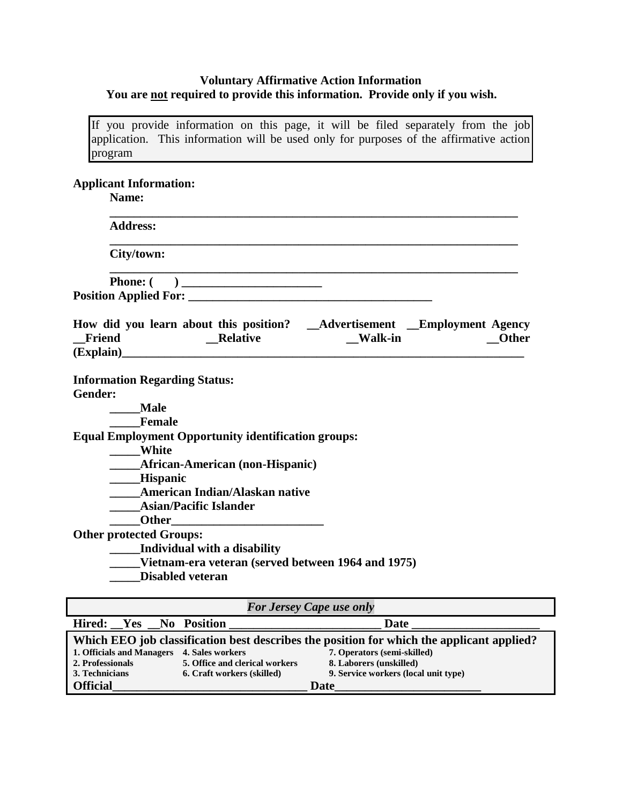## **Voluntary Affirmative Action Information You are not required to provide this information. Provide only if you wish.**

If you provide information on this page, it will be filed separately from the job application. This information will be used only for purposes of the affirmative action program

## **Applicant Information:**

| Name:                                                                                                                                                                                                                                                                                                                                                                                                          |
|----------------------------------------------------------------------------------------------------------------------------------------------------------------------------------------------------------------------------------------------------------------------------------------------------------------------------------------------------------------------------------------------------------------|
| <b>Address:</b>                                                                                                                                                                                                                                                                                                                                                                                                |
| City/town:                                                                                                                                                                                                                                                                                                                                                                                                     |
| <b>Phone:</b> (<br>$\begin{picture}(20,10) \put(0,0){\dashbox{0.5}(5,0){ }} \put(15,0){\circle{10}} \put(15,0){\circle{10}} \put(15,0){\circle{10}} \put(15,0){\circle{10}} \put(15,0){\circle{10}} \put(15,0){\circle{10}} \put(15,0){\circle{10}} \put(15,0){\circle{10}} \put(15,0){\circle{10}} \put(15,0){\circle{10}} \put(15,0){\circle{10}} \put(15,0){\circle{10}} \put(15,0){\circle{10}} \put(15,0$ |
|                                                                                                                                                                                                                                                                                                                                                                                                                |
| How did you learn about this position? __Advertisement __Employment Agency<br>Friend<br><b>Relative</b><br>Walk-in<br>Other                                                                                                                                                                                                                                                                                    |
| <b>Information Regarding Status:</b>                                                                                                                                                                                                                                                                                                                                                                           |
| <b>Gender:</b>                                                                                                                                                                                                                                                                                                                                                                                                 |
| <b>Male</b>                                                                                                                                                                                                                                                                                                                                                                                                    |
| <b>Female</b>                                                                                                                                                                                                                                                                                                                                                                                                  |
|                                                                                                                                                                                                                                                                                                                                                                                                                |
| <b>Equal Employment Opportunity identification groups:</b>                                                                                                                                                                                                                                                                                                                                                     |
| ____White                                                                                                                                                                                                                                                                                                                                                                                                      |
| <b>African-American (non-Hispanic)</b>                                                                                                                                                                                                                                                                                                                                                                         |
| <b>Hispanic</b><br><b>American Indian/Alaskan native</b>                                                                                                                                                                                                                                                                                                                                                       |
| <b>Asian/Pacific Islander</b>                                                                                                                                                                                                                                                                                                                                                                                  |
|                                                                                                                                                                                                                                                                                                                                                                                                                |
|                                                                                                                                                                                                                                                                                                                                                                                                                |
| <b>Other protected Groups:</b>                                                                                                                                                                                                                                                                                                                                                                                 |
| _____Individual with a disability                                                                                                                                                                                                                                                                                                                                                                              |
| Vietnam-era veteran (served between 1964 and 1975)                                                                                                                                                                                                                                                                                                                                                             |
| <b>Disabled veteran</b>                                                                                                                                                                                                                                                                                                                                                                                        |
|                                                                                                                                                                                                                                                                                                                                                                                                                |
| <b>For Jersey Cape use only</b>                                                                                                                                                                                                                                                                                                                                                                                |

| <b>For Jersey Cape use only</b>                                                           |                                |                                      |  |
|-------------------------------------------------------------------------------------------|--------------------------------|--------------------------------------|--|
| Hired: Yes No Position                                                                    |                                | <b>Date</b>                          |  |
| Which EEO job classification best describes the position for which the applicant applied? |                                |                                      |  |
| 1. Officials and Managers                                                                 | 4. Sales workers               | 7. Operators (semi-skilled)          |  |
| 2. Professionals                                                                          | 5. Office and clerical workers | 8. Laborers (unskilled)              |  |
| 3. Technicians                                                                            | 6. Craft workers (skilled)     | 9. Service workers (local unit type) |  |
| <b>Official</b>                                                                           | Date                           |                                      |  |